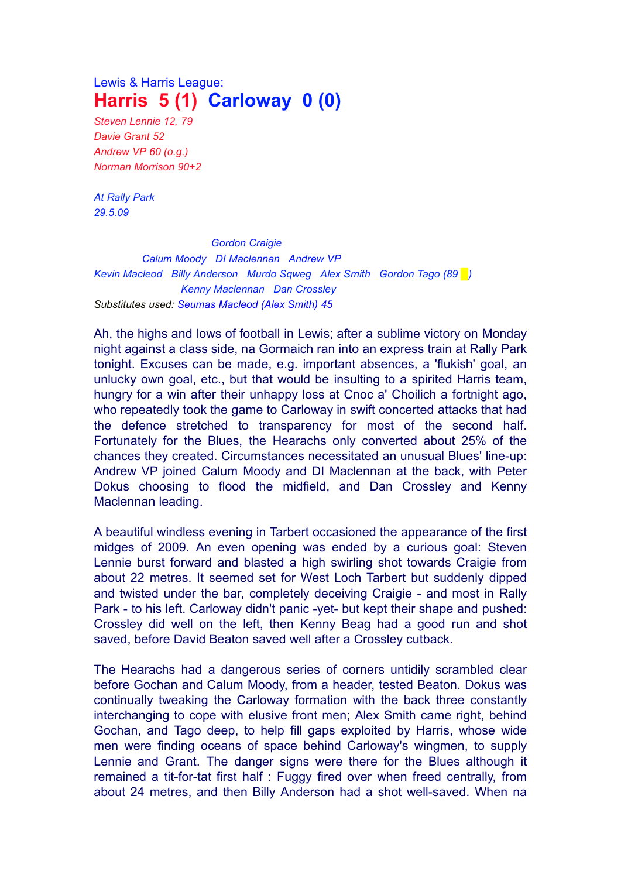## Lewis & Harris League: **Harris 5 (1) Carloway 0 (0)**

*Steven Lennie 12, 79 Davie Grant 52 Andrew VP 60 (o.g.) Norman Morrison 90+2*

*At Rally Park 29.5.09*

*Gordon Craigie Calum Moody DI Maclennan Andrew VP Kevin Macleod Billy Anderson Murdo Sqweg Alex Smith Gordon Tago (89 █) Kenny Maclennan Dan Crossley Substitutes used: Seumas Macleod (Alex Smith) 45*

Ah, the highs and lows of football in Lewis; after a sublime victory on Monday night against a class side, na Gormaich ran into an express train at Rally Park tonight. Excuses can be made, e.g. important absences, a 'flukish' goal, an unlucky own goal, etc., but that would be insulting to a spirited Harris team, hungry for a win after their unhappy loss at Cnoc a' Choilich a fortnight ago, who repeatedly took the game to Carloway in swift concerted attacks that had the defence stretched to transparency for most of the second half. Fortunately for the Blues, the Hearachs only converted about 25% of the chances they created. Circumstances necessitated an unusual Blues' line-up: Andrew VP joined Calum Moody and DI Maclennan at the back, with Peter Dokus choosing to flood the midfield, and Dan Crossley and Kenny Maclennan leading.

A beautiful windless evening in Tarbert occasioned the appearance of the first midges of 2009. An even opening was ended by a curious goal: Steven Lennie burst forward and blasted a high swirling shot towards Craigie from about 22 metres. It seemed set for West Loch Tarbert but suddenly dipped and twisted under the bar, completely deceiving Craigie - and most in Rally Park - to his left. Carloway didn't panic -yet- but kept their shape and pushed: Crossley did well on the left, then Kenny Beag had a good run and shot saved, before David Beaton saved well after a Crossley cutback.

The Hearachs had a dangerous series of corners untidily scrambled clear before Gochan and Calum Moody, from a header, tested Beaton. Dokus was continually tweaking the Carloway formation with the back three constantly interchanging to cope with elusive front men; Alex Smith came right, behind Gochan, and Tago deep, to help fill gaps exploited by Harris, whose wide men were finding oceans of space behind Carloway's wingmen, to supply Lennie and Grant. The danger signs were there for the Blues although it remained a tit-for-tat first half : Fuggy fired over when freed centrally, from about 24 metres, and then Billy Anderson had a shot well-saved. When na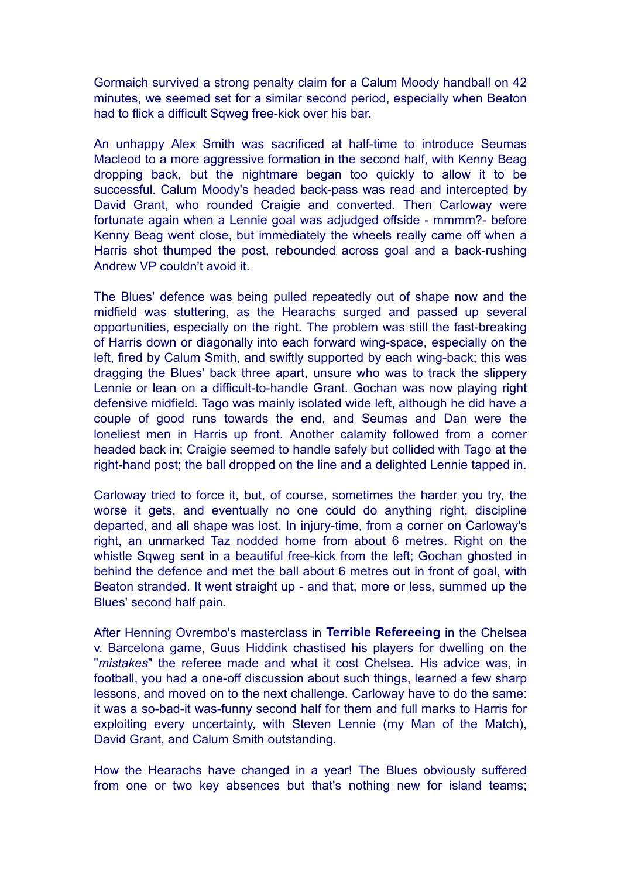Gormaich survived a strong penalty claim for a Calum Moody handball on 42 minutes, we seemed set for a similar second period, especially when Beaton had to flick a difficult Sqweg free-kick over his bar.

An unhappy Alex Smith was sacrificed at half-time to introduce Seumas Macleod to a more aggressive formation in the second half, with Kenny Beag dropping back, but the nightmare began too quickly to allow it to be successful. Calum Moody's headed back-pass was read and intercepted by David Grant, who rounded Craigie and converted. Then Carloway were fortunate again when a Lennie goal was adjudged offside - mmmm?- before Kenny Beag went close, but immediately the wheels really came off when a Harris shot thumped the post, rebounded across goal and a back-rushing Andrew VP couldn't avoid it.

The Blues' defence was being pulled repeatedly out of shape now and the midfield was stuttering, as the Hearachs surged and passed up several opportunities, especially on the right. The problem was still the fast-breaking of Harris down or diagonally into each forward wing-space, especially on the left, fired by Calum Smith, and swiftly supported by each wing-back; this was dragging the Blues' back three apart, unsure who was to track the slippery Lennie or lean on a difficult-to-handle Grant. Gochan was now playing right defensive midfield. Tago was mainly isolated wide left, although he did have a couple of good runs towards the end, and Seumas and Dan were the loneliest men in Harris up front. Another calamity followed from a corner headed back in; Craigie seemed to handle safely but collided with Tago at the right-hand post; the ball dropped on the line and a delighted Lennie tapped in.

Carloway tried to force it, but, of course, sometimes the harder you try, the worse it gets, and eventually no one could do anything right, discipline departed, and all shape was lost. In injury-time, from a corner on Carloway's right, an unmarked Taz nodded home from about 6 metres. Right on the whistle Sqweg sent in a beautiful free-kick from the left; Gochan ghosted in behind the defence and met the ball about 6 metres out in front of goal, with Beaton stranded. It went straight up - and that, more or less, summed up the Blues' second half pain.

After Henning Ovrembo's masterclass in **Terrible Refereeing** in the Chelsea v. Barcelona game, Guus Hiddink chastised his players for dwelling on the "*mistakes*" the referee made and what it cost Chelsea. His advice was, in football, you had a one-off discussion about such things, learned a few sharp lessons, and moved on to the next challenge. Carloway have to do the same: it was a so-bad-it was-funny second half for them and full marks to Harris for exploiting every uncertainty, with Steven Lennie (my Man of the Match), David Grant, and Calum Smith outstanding.

How the Hearachs have changed in a year! The Blues obviously suffered from one or two key absences but that's nothing new for island teams;